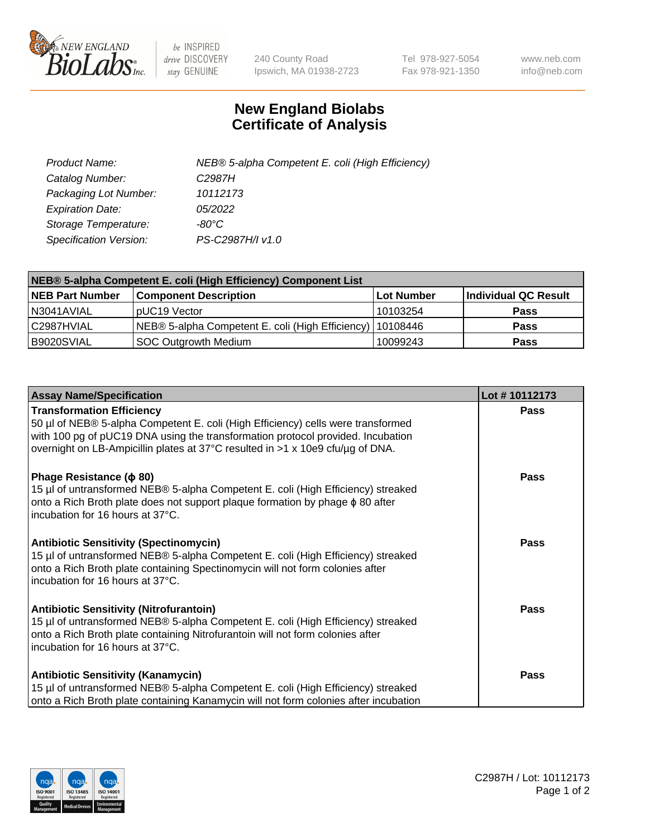

 $be$  INSPIRED drive DISCOVERY stay GENUINE

240 County Road Ipswich, MA 01938-2723 Tel 978-927-5054 Fax 978-921-1350 www.neb.com info@neb.com

## **New England Biolabs Certificate of Analysis**

| Product Name:           | NEB® 5-alpha Competent E. coli (High Efficiency) |
|-------------------------|--------------------------------------------------|
| Catalog Number:         | C <sub>2987</sub> H                              |
| Packaging Lot Number:   | 10112173                                         |
| <b>Expiration Date:</b> | <i>05/2022</i>                                   |
| Storage Temperature:    | -80°C.                                           |
| Specification Version:  | PS-C2987H/I v1.0                                 |

| NEB® 5-alpha Competent E. coli (High Efficiency) Component List |                                                             |            |                      |  |
|-----------------------------------------------------------------|-------------------------------------------------------------|------------|----------------------|--|
| <b>NEB Part Number</b>                                          | <b>Component Description</b>                                | Lot Number | Individual QC Result |  |
| N3041AVIAL                                                      | pUC19 Vector                                                | 10103254   | <b>Pass</b>          |  |
| C2987HVIAL                                                      | NEB® 5-alpha Competent E. coli (High Efficiency)   10108446 |            | <b>Pass</b>          |  |
| B9020SVIAL                                                      | <b>SOC Outgrowth Medium</b>                                 | 10099243   | <b>Pass</b>          |  |

| <b>Assay Name/Specification</b>                                                                                                                                                                                                                                                           | Lot #10112173 |
|-------------------------------------------------------------------------------------------------------------------------------------------------------------------------------------------------------------------------------------------------------------------------------------------|---------------|
| <b>Transformation Efficiency</b><br>50 µl of NEB® 5-alpha Competent E. coli (High Efficiency) cells were transformed<br>with 100 pg of pUC19 DNA using the transformation protocol provided. Incubation<br>overnight on LB-Ampicillin plates at 37°C resulted in >1 x 10e9 cfu/µg of DNA. | Pass          |
| Phage Resistance ( $\phi$ 80)<br>15 µl of untransformed NEB® 5-alpha Competent E. coli (High Efficiency) streaked<br>onto a Rich Broth plate does not support plaque formation by phage $\phi$ 80 after<br>incubation for 16 hours at 37°C.                                               | Pass          |
| <b>Antibiotic Sensitivity (Spectinomycin)</b><br>15 µl of untransformed NEB® 5-alpha Competent E. coli (High Efficiency) streaked<br>onto a Rich Broth plate containing Spectinomycin will not form colonies after<br>incubation for 16 hours at 37°C.                                    | <b>Pass</b>   |
| <b>Antibiotic Sensitivity (Nitrofurantoin)</b><br>15 µl of untransformed NEB® 5-alpha Competent E. coli (High Efficiency) streaked<br>onto a Rich Broth plate containing Nitrofurantoin will not form colonies after<br>incubation for 16 hours at 37°C.                                  | <b>Pass</b>   |
| <b>Antibiotic Sensitivity (Kanamycin)</b><br>15 µl of untransformed NEB® 5-alpha Competent E. coli (High Efficiency) streaked<br>onto a Rich Broth plate containing Kanamycin will not form colonies after incubation                                                                     | Pass          |